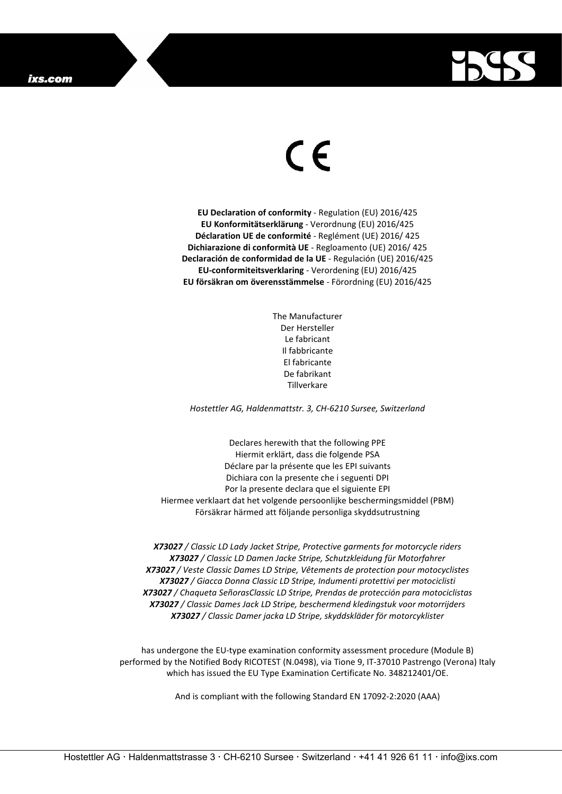

## $\epsilon$

**EU Declaration of conformity** - Regulation (EU) 2016/425 **EU Konformitätserklärung** - Verordnung (EU) 2016/425 **Déclaration UE de conformité** - Reglément (UE) 2016/ 425 **Dichiarazione di conformità UE** - Regloamento (UE) 2016/ 425 **Declaración de conformidad de la UE** - Regulación (UE) 2016/425 **EU-conformiteitsverklaring** - Verordening (EU) 2016/425 **EU försäkran om överensstämmelse** - Förordning (EU) 2016/425

> The Manufacturer Der Hersteller Le fabricant Il fabbricante El fabricante De fabrikant Tillverkare

*Hostettler AG, Haldenmattstr. 3, CH-6210 Sursee, Switzerland*

Declares herewith that the following PPE Hiermit erklärt, dass die folgende PSA Déclare par la présente que les EPI suivants Dichiara con la presente che i seguenti DPI Por la presente declara que el siguiente EPI Hiermee verklaart dat het volgende persoonlijke beschermingsmiddel (PBM) Försäkrar härmed att följande personliga skyddsutrustning

*X73027 / Classic LD Lady Jacket Stripe, Protective garments for motorcycle riders X73027 / Classic LD Damen Jacke Stripe, Schutzkleidung für Motorfahrer X73027 / Veste Classic Dames LD Stripe, Vêtements de protection pour motocyclistes X73027 / Giacca Donna Classic LD Stripe, Indumenti protettivi per motociclisti X73027 / Chaqueta SeñorasClassic LD Stripe, Prendas de protección para motociclistas X73027 / Classic Dames Jack LD Stripe, beschermend kledingstuk voor motorrijders X73027 / Classic Damer jacka LD Stripe, skyddskläder för motorcyklister*

has undergone the EU-type examination conformity assessment procedure (Module B) performed by the Notified Body RICOTEST (N.0498), via Tione 9, IT-37010 Pastrengo (Verona) Italy which has issued the EU Type Examination Certificate No. 348212401/OE.

And is compliant with the following Standard EN 17092-2:2020 (AAA)